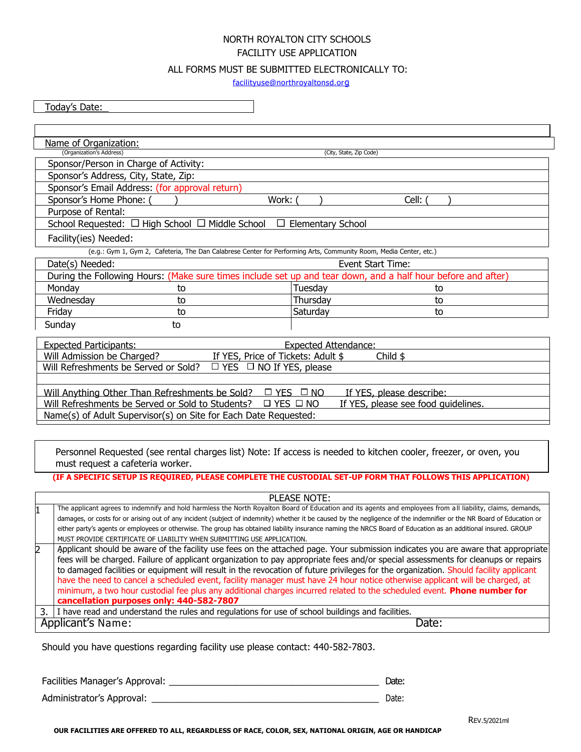## NORTH ROYALTON CITY SCHOOLS FACILITY USE APPLICATION

## ALL FORMS MUST BE SUBMITTED ELECTRONICALLY TO:

[facilityuse@northroyaltonsd.or](mailto:facilityuse@northroyaltonsd.org)g

Today's Date:

| Name of Organization:                                                                                             |                         |       |  |  |  |
|-------------------------------------------------------------------------------------------------------------------|-------------------------|-------|--|--|--|
| (Organization's Address)                                                                                          | (City, State, Zip Code) |       |  |  |  |
| Sponsor/Person in Charge of Activity:                                                                             |                         |       |  |  |  |
| Sponsor's Address, City, State, Zip:                                                                              |                         |       |  |  |  |
| Sponsor's Email Address: (for approval return)                                                                    |                         |       |  |  |  |
| Sponsor's Home Phone: (<br>Work: (                                                                                |                         | Cell: |  |  |  |
| Purpose of Rental:                                                                                                |                         |       |  |  |  |
| School Requested: $\Box$ High School $\Box$ Middle School<br>□<br><b>Elementary School</b>                        |                         |       |  |  |  |
| Facility(ies) Needed:                                                                                             |                         |       |  |  |  |
| (e.g.: Gym 1, Gym 2, Cafeteria, The Dan Calabrese Center for Performing Arts, Community Room, Media Center, etc.) |                         |       |  |  |  |
| Date(s) Needed:                                                                                                   | Event Start Time:       |       |  |  |  |
| During the Following Hours: (Make sure times include set up and tear down, and a half hour before and after)      |                         |       |  |  |  |
| Monday<br>to                                                                                                      | Tuesday                 | to    |  |  |  |
| Wednesday<br>to                                                                                                   | Thursday                | to    |  |  |  |
| Friday<br>to                                                                                                      | Saturday                | to    |  |  |  |
| Sunday<br>to                                                                                                      |                         |       |  |  |  |
| <b>Expected Participants:</b><br><b>Expected Attendance:</b>                                                      |                         |       |  |  |  |
| Will Admission be Charged?<br>If YES, Price of Tickets: Adult \$<br>Child $$$                                     |                         |       |  |  |  |
| Will Refreshments be Served or Sold?<br>$\Box$ YES $\Box$ NO If YES, please                                       |                         |       |  |  |  |
|                                                                                                                   |                         |       |  |  |  |
| Will Anything Other Than Refreshments be Sold? $\Box$ YES $\Box$ NO<br>If YES, please describe:                   |                         |       |  |  |  |
| Will Refreshments be Served or Sold to Students?<br>$\Box$ YES $\Box$ NO<br>If YES, please see food quidelines.   |                         |       |  |  |  |
| Name(s) of Adult Supervisor(s) on Site for Each Date Requested:                                                   |                         |       |  |  |  |

Personnel Requested (see rental charges list) Note: If access is needed to kitchen cooler, freezer, or oven, you must request a cafeteria worker.

## **(IF A SPECIFIC SETUP IS REQUIRED, PLEASE COMPLETE THE CUSTODIAL SET-UP FORM THAT FOLLOWS THIS APPLICATION)**

| PLEASE NOTE:               |                                                                                                                                                                       |  |  |  |
|----------------------------|-----------------------------------------------------------------------------------------------------------------------------------------------------------------------|--|--|--|
|                            | The applicant agrees to indemnify and hold harmless the North Royalton Board of Education and its agents and employees from all liability, claims, demands,           |  |  |  |
|                            | damages, or costs for or arising out of any incident (subject of indemnity) whether it be caused by the negligence of the indemnifier or the NR Board of Education or |  |  |  |
|                            | either party's agents or employees or otherwise. The group has obtained liability insurance naming the NRCS Board of Education as an additional insured. GROUP        |  |  |  |
|                            | MUST PROVIDE CERTIFICATE OF LIABILITY WHEN SUBMITTING USE APPLICATION.                                                                                                |  |  |  |
| 2                          | Applicant should be aware of the facility use fees on the attached page. Your submission indicates you are aware that appropriate                                     |  |  |  |
|                            | fees will be charged. Failure of applicant organization to pay appropriate fees and/or special assessments for cleanups or repairs                                    |  |  |  |
|                            | to damaged facilities or equipment will result in the revocation of future privileges for the organization. Should facility applicant                                 |  |  |  |
|                            | have the need to cancel a scheduled event, facility manager must have 24 hour notice otherwise applicant will be charged, at                                          |  |  |  |
|                            | minimum, a two hour custodial fee plus any additional charges incurred related to the scheduled event. Phone number for                                               |  |  |  |
|                            | cancellation purposes only: 440-582-7807                                                                                                                              |  |  |  |
| 3.                         | I have read and understand the rules and regulations for use of school buildings and facilities.                                                                      |  |  |  |
| Applicant's Name:<br>Date: |                                                                                                                                                                       |  |  |  |
|                            |                                                                                                                                                                       |  |  |  |

Should you have questions regarding facility use please contact: 440-582-7803.

Facilities Manager's Approval: \_\_\_\_\_\_\_\_\_\_\_\_\_\_\_\_\_\_\_\_\_\_\_\_\_\_\_\_\_\_\_\_\_\_\_\_\_\_\_\_\_ Date:

Administrator's Approval: \_\_\_\_\_\_\_\_\_\_\_\_\_\_\_\_\_\_\_\_\_\_\_\_\_\_\_\_\_\_\_\_\_\_\_\_\_\_\_\_\_\_\_\_\_\_\_\_\_\_\_\_\_\_ Date:

**OUR FACILITIES ARE OFFERED TO ALL, REGARDLESS OF RACE, COLOR, SEX, NATIONAL ORIGIN, AGE OR HANDICAP**